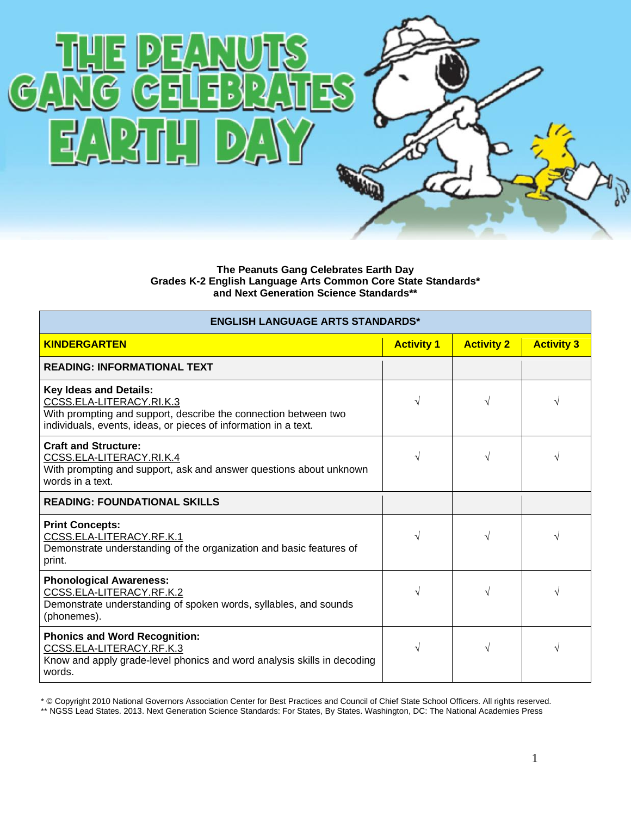

**The Peanuts Gang Celebrates Earth Day Grades K-2 English Language Arts Common Core State Standards\* and Next Generation Science Standards\*\***

| <b>ENGLISH LANGUAGE ARTS STANDARDS*</b>                                                                                                                                                         |                   |                   |                   |  |
|-------------------------------------------------------------------------------------------------------------------------------------------------------------------------------------------------|-------------------|-------------------|-------------------|--|
| <b>KINDERGARTEN</b>                                                                                                                                                                             | <b>Activity 1</b> | <b>Activity 2</b> | <b>Activity 3</b> |  |
| <b>READING: INFORMATIONAL TEXT</b>                                                                                                                                                              |                   |                   |                   |  |
| <b>Key Ideas and Details:</b><br>CCSS.ELA-LITERACY.RI.K.3<br>With prompting and support, describe the connection between two<br>individuals, events, ideas, or pieces of information in a text. | V                 | N                 |                   |  |
| <b>Craft and Structure:</b><br>CCSS.ELA-LITERACY.RI.K.4<br>With prompting and support, ask and answer questions about unknown<br>words in a text.                                               | V                 | $\sqrt{ }$        |                   |  |
| <b>READING: FOUNDATIONAL SKILLS</b>                                                                                                                                                             |                   |                   |                   |  |
| <b>Print Concepts:</b><br>CCSS.ELA-LITERACY.RF.K.1<br>Demonstrate understanding of the organization and basic features of<br>print.                                                             | V                 | $\sqrt{ }$        |                   |  |
| <b>Phonological Awareness:</b><br>CCSS.ELA-LITERACY.RF.K.2<br>Demonstrate understanding of spoken words, syllables, and sounds<br>(phonemes).                                                   | V                 | N                 |                   |  |
| <b>Phonics and Word Recognition:</b><br>CCSS.ELA-LITERACY.RF.K.3<br>Know and apply grade-level phonics and word analysis skills in decoding<br>words.                                           | V                 | $\sqrt{ }$        |                   |  |

\* © Copyright 2010 National Governors Association Center for Best Practices and Council of Chief State School Officers. All rights reserved.

\*\* NGSS Lead States. 2013. Next Generation Science Standards: For States, By States. Washington, DC: The National Academies Press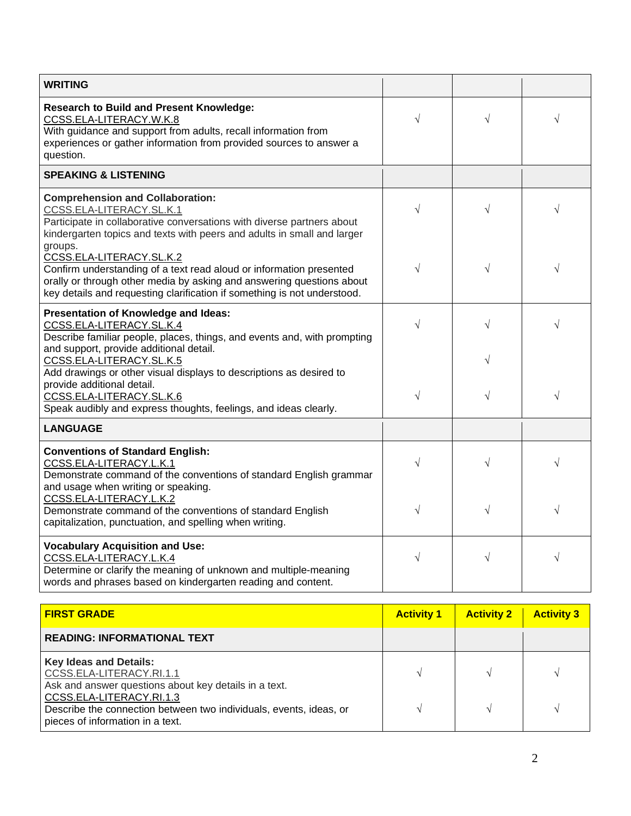| <b>WRITING</b>                                                                                                                                                                                                                                       |                   |                   |                   |
|------------------------------------------------------------------------------------------------------------------------------------------------------------------------------------------------------------------------------------------------------|-------------------|-------------------|-------------------|
| <b>Research to Build and Present Knowledge:</b><br>CCSS.ELA-LITERACY.W.K.8<br>With guidance and support from adults, recall information from<br>experiences or gather information from provided sources to answer a<br>question.                     | V                 | $\sqrt{ }$        |                   |
| <b>SPEAKING &amp; LISTENING</b>                                                                                                                                                                                                                      |                   |                   |                   |
| <b>Comprehension and Collaboration:</b><br>CCSS.ELA-LITERACY.SL.K.1<br>Participate in collaborative conversations with diverse partners about<br>kindergarten topics and texts with peers and adults in small and larger<br>groups.                  | V                 | $\sqrt{}$         |                   |
| CCSS.ELA-LITERACY.SL.K.2<br>Confirm understanding of a text read aloud or information presented<br>orally or through other media by asking and answering questions about<br>key details and requesting clarification if something is not understood. | V                 | $\sqrt{}$         |                   |
| Presentation of Knowledge and Ideas:<br>CCSS.ELA-LITERACY.SL.K.4<br>Describe familiar people, places, things, and events and, with prompting<br>and support, provide additional detail.                                                              | V                 | $\sqrt{ }$        |                   |
| CCSS.ELA-LITERACY.SL.K.5<br>Add drawings or other visual displays to descriptions as desired to<br>provide additional detail.<br>CCSS.ELA-LITERACY.SL.K.6                                                                                            | $\sqrt{}$         | $\sqrt{ }$        |                   |
| Speak audibly and express thoughts, feelings, and ideas clearly.<br><b>LANGUAGE</b>                                                                                                                                                                  |                   |                   |                   |
| <b>Conventions of Standard English:</b><br>CCSS.ELA-LITERACY.L.K.1<br>Demonstrate command of the conventions of standard English grammar<br>and usage when writing or speaking.                                                                      | V                 | $\sqrt{ }$        |                   |
| CCSS.ELA-LITERACY.L.K.2<br>Demonstrate command of the conventions of standard English<br>capitalization, punctuation, and spelling when writing.                                                                                                     | V                 |                   |                   |
| <b>Vocabulary Acquisition and Use:</b><br>CCSS.ELA-LITERACY.L.K.4<br>Determine or clarify the meaning of unknown and multiple-meaning<br>words and phrases based on kindergarten reading and content.                                                | V                 | $\sqrt{}$         |                   |
| <b>FIRST GRADE</b>                                                                                                                                                                                                                                   | <b>Activity 1</b> | <b>Activity 2</b> | <b>Activity 3</b> |

| <b>READING: INFORMATIONAL TEXT</b>                                                                                                                                                                                                                       |  |  |
|----------------------------------------------------------------------------------------------------------------------------------------------------------------------------------------------------------------------------------------------------------|--|--|
|                                                                                                                                                                                                                                                          |  |  |
| <b>Key Ideas and Details:</b><br>CCSS.ELA-LITERACY.RI.1.1<br>Ask and answer questions about key details in a text.<br>CCSS.ELA-LITERACY.RI.1.3<br>Describe the connection between two individuals, events, ideas, or<br>pieces of information in a text. |  |  |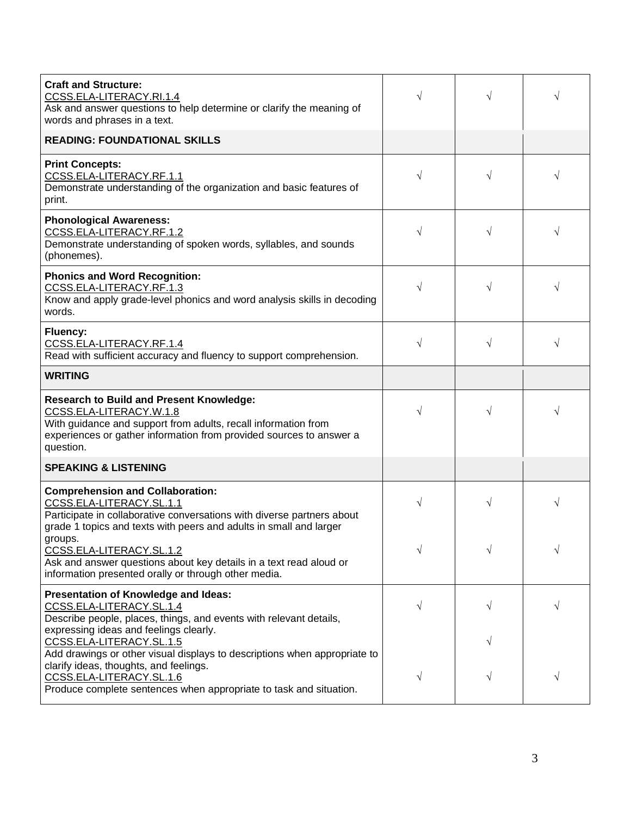| <b>Craft and Structure:</b><br>CCSS.ELA-LITERACY.RI.1.4<br>Ask and answer questions to help determine or clarify the meaning of<br>words and phrases in a text.                                                                  | V         |           | V         |
|----------------------------------------------------------------------------------------------------------------------------------------------------------------------------------------------------------------------------------|-----------|-----------|-----------|
| <b>READING: FOUNDATIONAL SKILLS</b>                                                                                                                                                                                              |           |           |           |
| <b>Print Concepts:</b><br>CCSS.ELA-LITERACY.RF.1.1<br>Demonstrate understanding of the organization and basic features of<br>print.                                                                                              | $\sqrt{}$ | V         | V         |
| <b>Phonological Awareness:</b><br>CCSS.ELA-LITERACY.RF.1.2<br>Demonstrate understanding of spoken words, syllables, and sounds<br>(phonemes).                                                                                    | $\sqrt{}$ |           | V         |
| <b>Phonics and Word Recognition:</b><br>CCSS.ELA-LITERACY.RF.1.3<br>Know and apply grade-level phonics and word analysis skills in decoding<br>words.                                                                            | $\sqrt{}$ |           |           |
| <b>Fluency:</b><br>CCSS.ELA-LITERACY.RF.1.4<br>Read with sufficient accuracy and fluency to support comprehension.                                                                                                               | $\sqrt{}$ | $\sqrt{}$ | $\sqrt{}$ |
| <b>WRITING</b>                                                                                                                                                                                                                   |           |           |           |
| <b>Research to Build and Present Knowledge:</b><br>CCSS.ELA-LITERACY.W.1.8<br>With guidance and support from adults, recall information from<br>experiences or gather information from provided sources to answer a<br>question. | $\sqrt{}$ | V         |           |
| <b>SPEAKING &amp; LISTENING</b>                                                                                                                                                                                                  |           |           |           |
| <b>Comprehension and Collaboration:</b><br>CCSS.ELA-LITERACY.SL.1.1<br>Participate in collaborative conversations with diverse partners about<br>grade 1 topics and texts with peers and adults in small and larger              | $\sqrt{}$ | V         | $\sqrt{}$ |
| groups.<br>CCSS.ELA-LITERACY.SL.1.2<br>Ask and answer questions about key details in a text read aloud or<br>information presented orally or through other media.                                                                | $\sqrt{}$ |           | V         |
| Presentation of Knowledge and Ideas:<br>CCSS.ELA-LITERACY.SL.1.4<br>Describe people, places, things, and events with relevant details,<br>expressing ideas and feelings clearly.                                                 | $\sqrt{}$ | $\sqrt{}$ | $\sqrt{}$ |
|                                                                                                                                                                                                                                  |           |           |           |
| CCSS.ELA-LITERACY.SL.1.5<br>Add drawings or other visual displays to descriptions when appropriate to<br>clarify ideas, thoughts, and feelings.                                                                                  |           |           |           |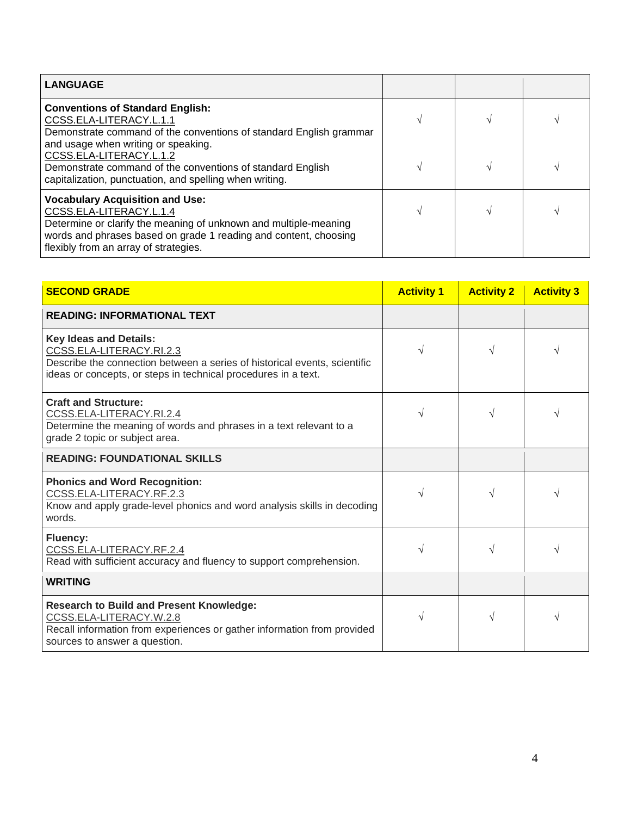| <b>LANGUAGE</b>                                                                                                                                                                                                                                    |  |  |
|----------------------------------------------------------------------------------------------------------------------------------------------------------------------------------------------------------------------------------------------------|--|--|
| <b>Conventions of Standard English:</b><br>CCSS.ELA-LITERACY.L.1.1<br>Demonstrate command of the conventions of standard English grammar<br>and usage when writing or speaking.                                                                    |  |  |
| CCSS.ELA-LITERACY.L.1.2<br>Demonstrate command of the conventions of standard English<br>capitalization, punctuation, and spelling when writing.                                                                                                   |  |  |
| <b>Vocabulary Acquisition and Use:</b><br>CCSS.ELA-LITERACY.L.1.4<br>Determine or clarify the meaning of unknown and multiple-meaning<br>words and phrases based on grade 1 reading and content, choosing<br>flexibly from an array of strategies. |  |  |

| <b>SECOND GRADE</b>                                                                                                                                                                                      | <b>Activity 1</b> | <b>Activity 2</b> | <b>Activity 3</b> |
|----------------------------------------------------------------------------------------------------------------------------------------------------------------------------------------------------------|-------------------|-------------------|-------------------|
| <b>READING: INFORMATIONAL TEXT</b>                                                                                                                                                                       |                   |                   |                   |
| <b>Key Ideas and Details:</b><br>CCSS.ELA-LITERACY.RI.2.3<br>Describe the connection between a series of historical events, scientific<br>ideas or concepts, or steps in technical procedures in a text. | $\sqrt{ }$        |                   |                   |
| <b>Craft and Structure:</b><br>CCSS.ELA-LITERACY.RI.2.4<br>Determine the meaning of words and phrases in a text relevant to a<br>grade 2 topic or subject area.                                          |                   |                   | V                 |
| <b>READING: FOUNDATIONAL SKILLS</b>                                                                                                                                                                      |                   |                   |                   |
| <b>Phonics and Word Recognition:</b><br>CCSS.ELA-LITERACY.RF.2.3<br>Know and apply grade-level phonics and word analysis skills in decoding<br>words.                                                    |                   |                   | V                 |
| <b>Fluency:</b><br>CCSS.ELA-LITERACY.RF.2.4<br>Read with sufficient accuracy and fluency to support comprehension.                                                                                       | $\sqrt{}$         | $\sqrt{}$         |                   |
| <b>WRITING</b>                                                                                                                                                                                           |                   |                   |                   |
| <b>Research to Build and Present Knowledge:</b><br>CCSS.ELA-LITERACY.W.2.8<br>Recall information from experiences or gather information from provided<br>sources to answer a question.                   | V                 | $\sqrt{}$         | V                 |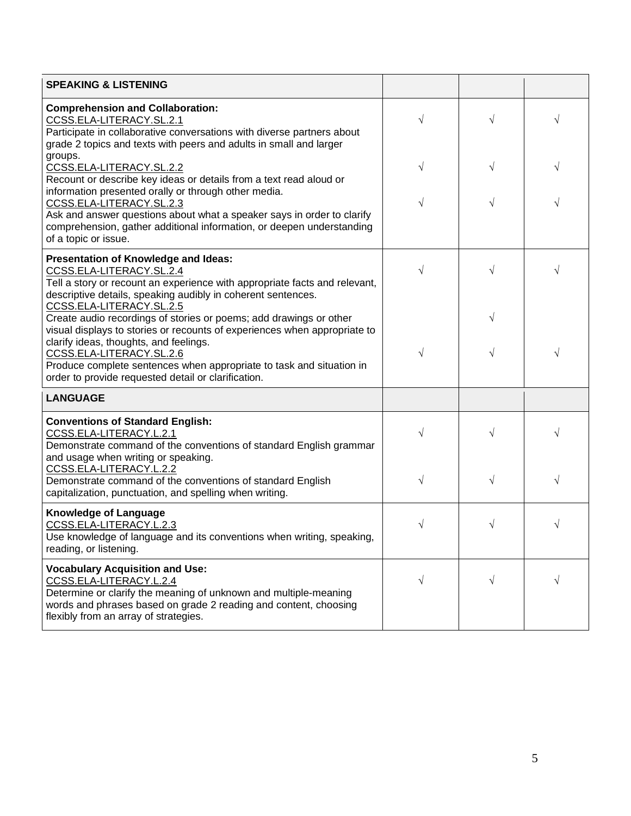| <b>SPEAKING &amp; LISTENING</b>                                                                                                                                                                                                                                                                                                                      |           |           |           |
|------------------------------------------------------------------------------------------------------------------------------------------------------------------------------------------------------------------------------------------------------------------------------------------------------------------------------------------------------|-----------|-----------|-----------|
| <b>Comprehension and Collaboration:</b><br>CCSS.ELA-LITERACY.SL.2.1<br>Participate in collaborative conversations with diverse partners about<br>grade 2 topics and texts with peers and adults in small and larger                                                                                                                                  |           | $\sqrt{}$ | V         |
| groups.<br>CCSS.ELA-LITERACY.SL.2.2<br>Recount or describe key ideas or details from a text read aloud or                                                                                                                                                                                                                                            |           | $\sqrt{}$ | V         |
| information presented orally or through other media.<br>CCSS.ELA-LITERACY.SL.2.3<br>Ask and answer questions about what a speaker says in order to clarify<br>comprehension, gather additional information, or deepen understanding<br>of a topic or issue.                                                                                          |           |           |           |
| Presentation of Knowledge and Ideas:<br>CCSS.ELA-LITERACY.SL.2.4<br>Tell a story or recount an experience with appropriate facts and relevant,<br>descriptive details, speaking audibly in coherent sentences.<br>CCSS.ELA-LITERACY.SL.2.5                                                                                                           |           | $\sqrt{}$ |           |
| Create audio recordings of stories or poems; add drawings or other<br>visual displays to stories or recounts of experiences when appropriate to<br>clarify ideas, thoughts, and feelings.<br>CCSS.ELA-LITERACY.SL.2.6<br>Produce complete sentences when appropriate to task and situation in<br>order to provide requested detail or clarification. | $\sqrt{}$ | V<br>V    | V         |
| <b>LANGUAGE</b>                                                                                                                                                                                                                                                                                                                                      |           |           |           |
| <b>Conventions of Standard English:</b><br>CCSS.ELA-LITERACY.L.2.1<br>Demonstrate command of the conventions of standard English grammar<br>and usage when writing or speaking.                                                                                                                                                                      |           | √         |           |
| <u>CCSS.ELA-LITERACY.L.2.2</u><br>Demonstrate command of the conventions of standard English<br>capitalization, punctuation, and spelling when writing.                                                                                                                                                                                              | $\sqrt{}$ | $\sqrt{}$ | $\sqrt{}$ |
| <b>Knowledge of Language</b><br>CCSS.ELA-LITERACY.L.2.3<br>Use knowledge of language and its conventions when writing, speaking,<br>reading, or listening.                                                                                                                                                                                           |           |           |           |
| <b>Vocabulary Acquisition and Use:</b><br>CCSS.ELA-LITERACY.L.2.4<br>Determine or clarify the meaning of unknown and multiple-meaning<br>words and phrases based on grade 2 reading and content, choosing<br>flexibly from an array of strategies.                                                                                                   | $\sqrt{}$ | $\sqrt{}$ | $\sqrt{}$ |